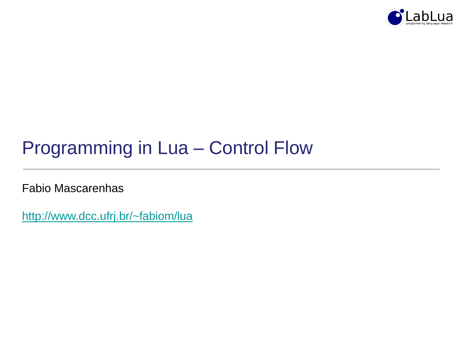

## Programming in Lua – Control Flow

Fabio Mascarenhas

<http://www.dcc.ufrj.br/~fabiom/lua>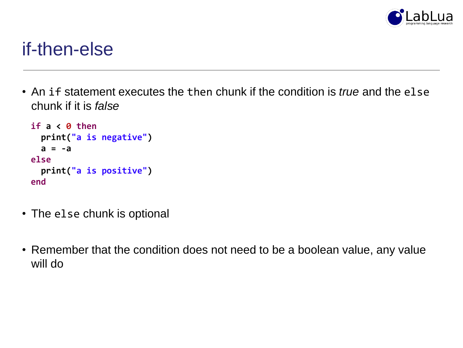

### if-then-else

• An if statement executes the then chunk if the condition is *true* and the else chunk if it is *false*

```
if a < 0 then
 print("a is negative")
 a = -a
else
 print("a is positive")
end
```
- The else chunk is optional
- Remember that the condition does not need to be a boolean value, any value will do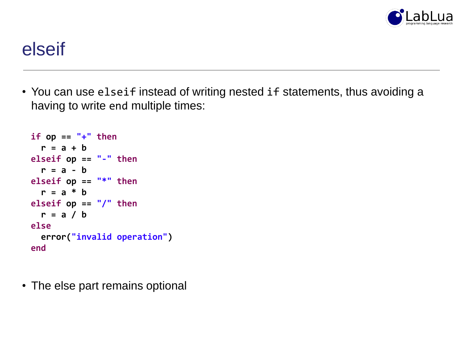

#### elseif

• You can use elseif instead of writing nested if statements, thus avoiding a having to write end multiple times:

```
if op == "++" then
 r = a + b
elseif op == "-" then
 r = a - b
elseif op == "*" then
 r = a * b
elseif op == "/" then
 r = a / b
else
 error("invalid operation")
end
```
• The else part remains optional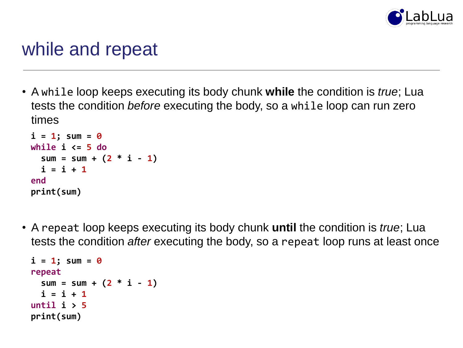

### while and repeat

• A while loop keeps executing its body chunk **while** the condition is *true*; Lua tests the condition *before* executing the body, so a while loop can run zero times

```
i = 1; sum = 0while i <= 5 do
  sum = sum + (2 * i - 1)i = i + 1end
print(sum)
```
• A repeat loop keeps executing its body chunk **until** the condition is *true*; Lua tests the condition *after* executing the body, so a repeat loop runs at least once

```
i = 1; sum = 0
repeat
 sum = sum + (2 * i - 1)i = i + 1until i > 5
print(sum)
```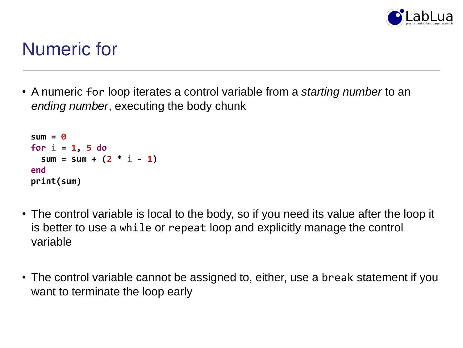

## Numeric for

• A numeric for loop iterates a control variable from a *starting number* to an *ending number*, executing the body chunk

```
sum = 0
for i = 1, 5 do
 sum = sum + (2 * i - 1)end
print(sum)
```
- The control variable is local to the body, so if you need its value after the loop it is better to use a while or repeat loop and explicitly manage the control variable
- The control variable cannot be assigned to, either, use a break statement if you want to terminate the loop early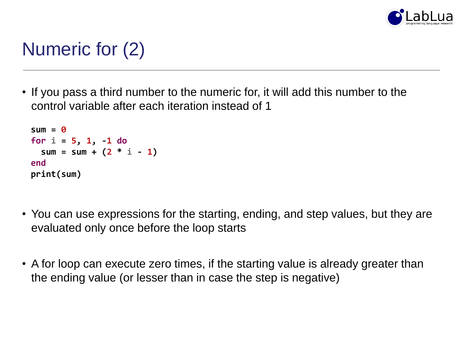

# Numeric for (2)

• If you pass a third number to the numeric for, it will add this number to the control variable after each iteration instead of 1

```
sum = 0
for i = 5, 1, -1 do
 sum = sum + (2 * i - 1)end
print(sum)
```
- You can use expressions for the starting, ending, and step values, but they are evaluated only once before the loop starts
- A for loop can execute zero times, if the starting value is already greater than the ending value (or lesser than in case the step is negative)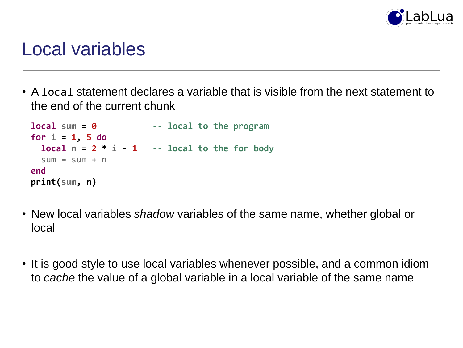

#### Local variables

• A local statement declares a variable that is visible from the next statement to the end of the current chunk

```
local sum = 0 -- local to the program
for i = 1, 5 do
 local n = 2 * i - 1 - 1 -- local to the for body
 sum = sum + nend
print(sum, n)
```
- New local variables *shadow* variables of the same name, whether global or local
- It is good style to use local variables whenever possible, and a common idiom to *cache* the value of a global variable in a local variable of the same name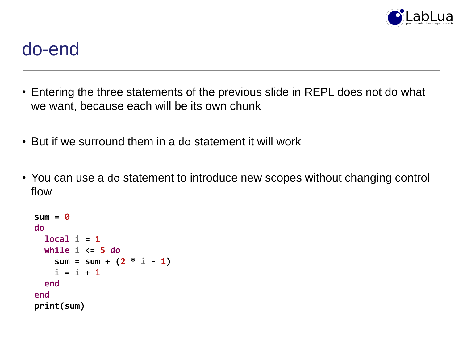

#### do-end

- Entering the three statements of the previous slide in REPL does not do what we want, because each will be its own chunk
- But if we surround them in a do statement it will work
- You can use a do statement to introduce new scopes without changing control flow

```
sum = 0
do
  local i = 1
  while i <= 5 do
    sum = sum + (2 * i - 1)i = i + 1end
end
print(sum)
```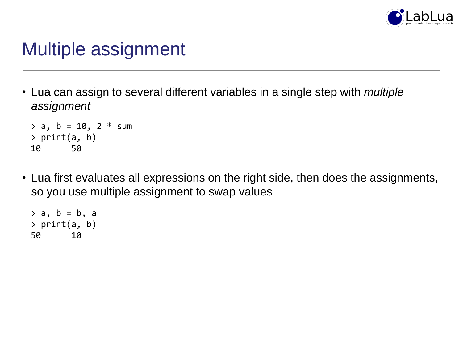

## Multiple assignment

• Lua can assign to several different variables in a single step with *multiple assignment*

```
> a, b = 10, 2 * sum> print(a, b)
10 50
```
• Lua first evaluates all expressions on the right side, then does the assignments, so you use multiple assignment to swap values

```
> a, b = b, a> print(a, b)
50 10
```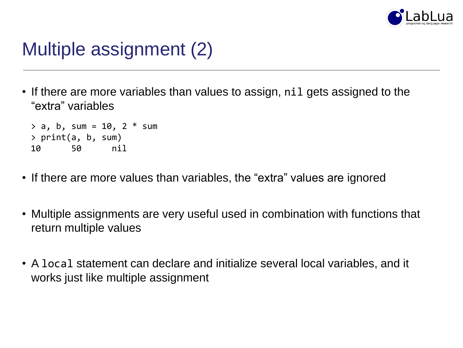

## Multiple assignment (2)

• If there are more variables than values to assign, nil gets assigned to the "extra" variables

 $> a, b, sum = 10, 2 * sum$ > print(a, b, sum) 10 50 nil

- If there are more values than variables, the "extra" values are ignored
- Multiple assignments are very useful used in combination with functions that return multiple values
- A local statement can declare and initialize several local variables, and it works just like multiple assignment